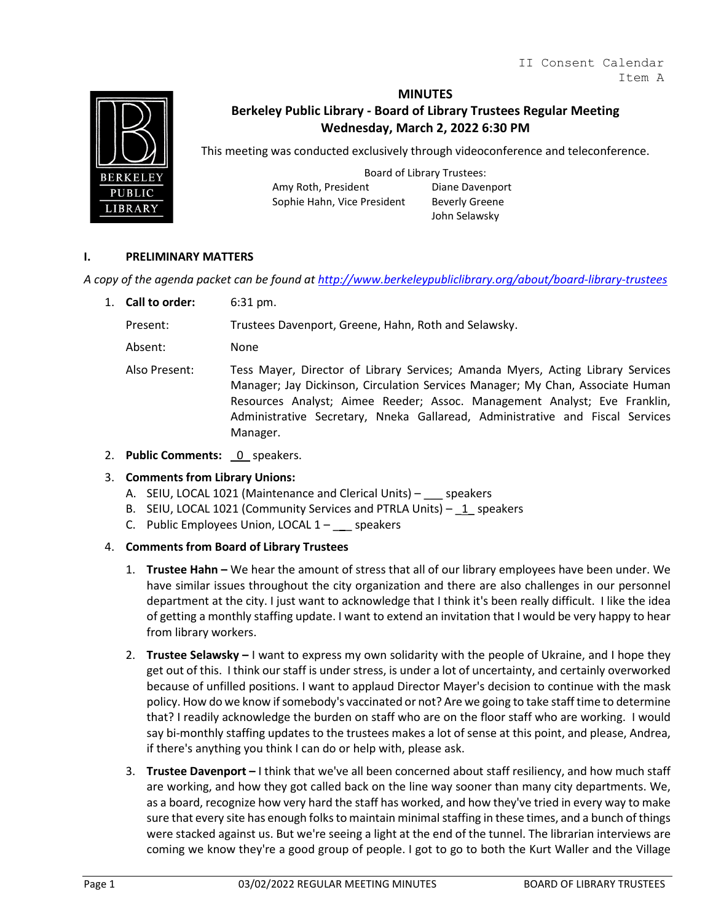

# **MINUTES**

# **Berkeley Public Library - Board of Library Trustees Regular Meeting Wednesday, March 2, 2022 6:30 PM**

This meeting was conducted exclusively through videoconference and teleconference.

Board of Library Trustees: Amy Roth, President Diane Davenport Sophie Hahn, Vice President Beverly Greene

John Selawsky

## **I. PRELIMINARY MATTERS**

*A copy of the agenda packet can be found at<http://www.berkeleypubliclibrary.org/about/board-library-trustees>*

1. **Call to order:** 6:31 pm.

Present: Trustees Davenport, Greene, Hahn, Roth and Selawsky.

Absent: None

- Also Present: Tess Mayer, Director of Library Services; Amanda Myers, Acting Library Services Manager; Jay Dickinson, Circulation Services Manager; My Chan, Associate Human Resources Analyst; Aimee Reeder; Assoc. Management Analyst; Eve Franklin, Administrative Secretary, Nneka Gallaread, Administrative and Fiscal Services Manager.
- 2. **Public Comments:** 0 speakers.

## 3. **Comments from Library Unions:**

- A. SEIU, LOCAL 1021 (Maintenance and Clerical Units) speakers
- B. SEIU, LOCAL 1021 (Community Services and PTRLA Units) 1 speakers
- C. Public Employees Union, LOCAL  $1 -$  speakers

## 4. **Comments from Board of Library Trustees**

- 1. **Trustee Hahn –** We hear the amount of stress that all of our library employees have been under. We have similar issues throughout the city organization and there are also challenges in our personnel department at the city. I just want to acknowledge that I think it's been really difficult. I like the idea of getting a monthly staffing update. I want to extend an invitation that I would be very happy to hear from library workers.
- 2. **Trustee Selawsky –** I want to express my own solidarity with the people of Ukraine, and I hope they get out of this. I think our staff is under stress, is under a lot of uncertainty, and certainly overworked because of unfilled positions. I want to applaud Director Mayer's decision to continue with the mask policy. How do we know if somebody's vaccinated or not? Are we going to take staff time to determine that? I readily acknowledge the burden on staff who are on the floor staff who are working. I would say bi-monthly staffing updates to the trustees makes a lot of sense at this point, and please, Andrea, if there's anything you think I can do or help with, please ask.
- 3. **Trustee Davenport –** I think that we've all been concerned about staff resiliency, and how much staff are working, and how they got called back on the line way sooner than many city departments. We, as a board, recognize how very hard the staff has worked, and how they've tried in every way to make sure that every site has enough folks to maintain minimal staffing in these times, and a bunch of things were stacked against us. But we're seeing a light at the end of the tunnel. The librarian interviews are coming we know they're a good group of people. I got to go to both the Kurt Waller and the Village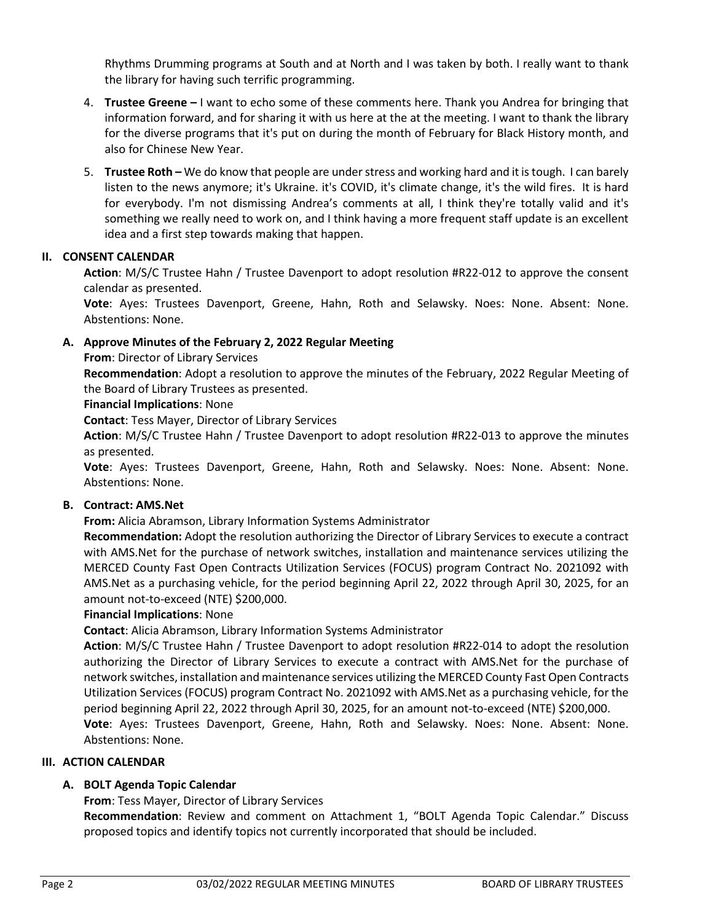Rhythms Drumming programs at South and at North and I was taken by both. I really want to thank the library for having such terrific programming.

- 4. **Trustee Greene –** I want to echo some of these comments here. Thank you Andrea for bringing that information forward, and for sharing it with us here at the at the meeting. I want to thank the library for the diverse programs that it's put on during the month of February for Black History month, and also for Chinese New Year.
- 5. **Trustee Roth –** We do know that people are under stress and working hard and it is tough. I can barely listen to the news anymore; it's Ukraine. it's COVID, it's climate change, it's the wild fires. It is hard for everybody. I'm not dismissing Andrea's comments at all, I think they're totally valid and it's something we really need to work on, and I think having a more frequent staff update is an excellent idea and a first step towards making that happen.

# **II. CONSENT CALENDAR**

**Action**: M/S/C Trustee Hahn / Trustee Davenport to adopt resolution #R22-012 to approve the consent calendar as presented.

**Vote**: Ayes: Trustees Davenport, Greene, Hahn, Roth and Selawsky. Noes: None. Absent: None. Abstentions: None.

# **A. Approve Minutes of the February 2, 2022 Regular Meeting**

**From**: Director of Library Services

**Recommendation**: Adopt a resolution to approve the minutes of the February, 2022 Regular Meeting of the Board of Library Trustees as presented.

## **Financial Implications**: None

**Contact**: Tess Mayer, Director of Library Services

**Action**: M/S/C Trustee Hahn / Trustee Davenport to adopt resolution #R22-013 to approve the minutes as presented.

**Vote**: Ayes: Trustees Davenport, Greene, Hahn, Roth and Selawsky. Noes: None. Absent: None. Abstentions: None.

## **B. Contract: AMS.Net**

**From:** Alicia Abramson, Library Information Systems Administrator

**Recommendation:** Adopt the resolution authorizing the Director of Library Services to execute a contract with AMS.Net for the purchase of network switches, installation and maintenance services utilizing the MERCED County Fast Open Contracts Utilization Services (FOCUS) program Contract No. 2021092 with AMS.Net as a purchasing vehicle, for the period beginning April 22, 2022 through April 30, 2025, for an amount not-to-exceed (NTE) \$200,000.

## **Financial Implications**: None

**Contact**: Alicia Abramson, Library Information Systems Administrator

**Action**: M/S/C Trustee Hahn / Trustee Davenport to adopt resolution #R22-014 to adopt the resolution authorizing the Director of Library Services to execute a contract with AMS.Net for the purchase of network switches, installation and maintenance services utilizing the MERCED County Fast Open Contracts Utilization Services (FOCUS) program Contract No. 2021092 with AMS.Net as a purchasing vehicle, for the period beginning April 22, 2022 through April 30, 2025, for an amount not-to-exceed (NTE) \$200,000. **Vote**: Ayes: Trustees Davenport, Greene, Hahn, Roth and Selawsky. Noes: None. Absent: None. Abstentions: None.

## **III. ACTION CALENDAR**

# **A. BOLT Agenda Topic Calendar**

**From**: Tess Mayer, Director of Library Services

**Recommendation**: Review and comment on Attachment 1, "BOLT Agenda Topic Calendar." Discuss proposed topics and identify topics not currently incorporated that should be included.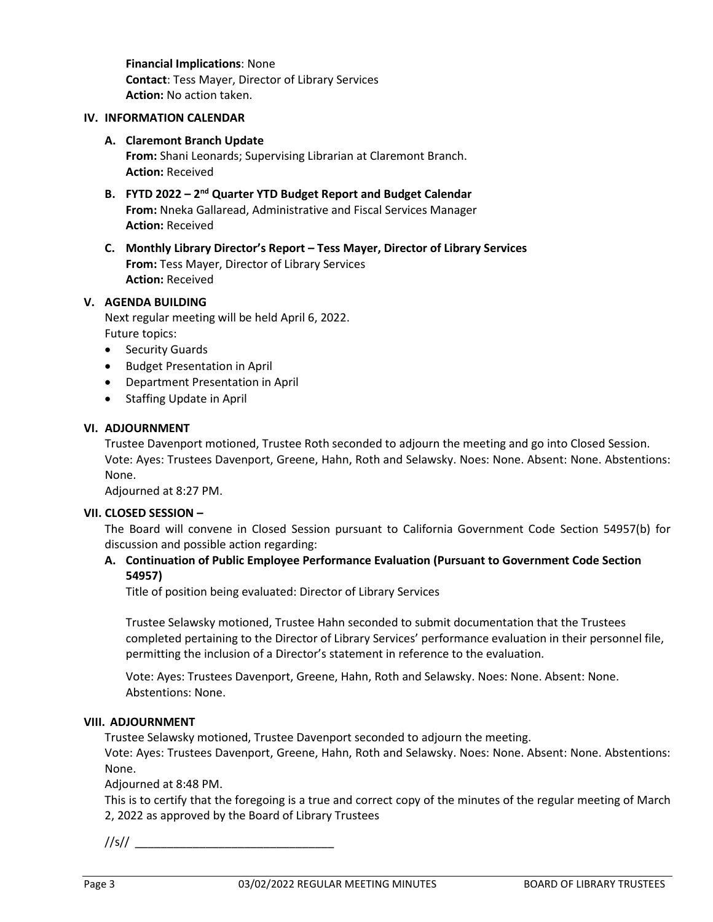**Financial Implications**: None **Contact**: Tess Mayer, Director of Library Services **Action:** No action taken.

#### **IV. INFORMATION CALENDAR**

#### **A. Claremont Branch Update**

**From:** Shani Leonards; Supervising Librarian at Claremont Branch. **Action:** Received

- **B. FYTD 2022 – 2nd Quarter YTD Budget Report and Budget Calendar From:** Nneka Gallaread, Administrative and Fiscal Services Manager **Action:** Received
- **C. Monthly Library Director's Report – Tess Mayer, Director of Library Services From:** Tess Mayer, Director of Library Services **Action:** Received

## **V. AGENDA BUILDING**

Next regular meeting will be held April 6, 2022. Future topics:

- Security Guards
- Budget Presentation in April
- Department Presentation in April
- Staffing Update in April

#### **VI. ADJOURNMENT**

Trustee Davenport motioned, Trustee Roth seconded to adjourn the meeting and go into Closed Session. Vote: Ayes: Trustees Davenport, Greene, Hahn, Roth and Selawsky. Noes: None. Absent: None. Abstentions: None.

Adjourned at 8:27 PM.

#### **VII. CLOSED SESSION –**

The Board will convene in Closed Session pursuant to California Government Code Section 54957(b) for discussion and possible action regarding:

# **A. Continuation of Public Employee Performance Evaluation (Pursuant to Government Code Section 54957)**

Title of position being evaluated: Director of Library Services

Trustee Selawsky motioned, Trustee Hahn seconded to submit documentation that the Trustees completed pertaining to the Director of Library Services' performance evaluation in their personnel file, permitting the inclusion of a Director's statement in reference to the evaluation.

Vote: Ayes: Trustees Davenport, Greene, Hahn, Roth and Selawsky. Noes: None. Absent: None. Abstentions: None.

#### **VIII. ADJOURNMENT**

Trustee Selawsky motioned, Trustee Davenport seconded to adjourn the meeting.

Vote: Ayes: Trustees Davenport, Greene, Hahn, Roth and Selawsky. Noes: None. Absent: None. Abstentions: None.

Adjourned at 8:48 PM.

This is to certify that the foregoing is a true and correct copy of the minutes of the regular meeting of March 2, 2022 as approved by the Board of Library Trustees

 $1/|s|/$   $\qquad \qquad$